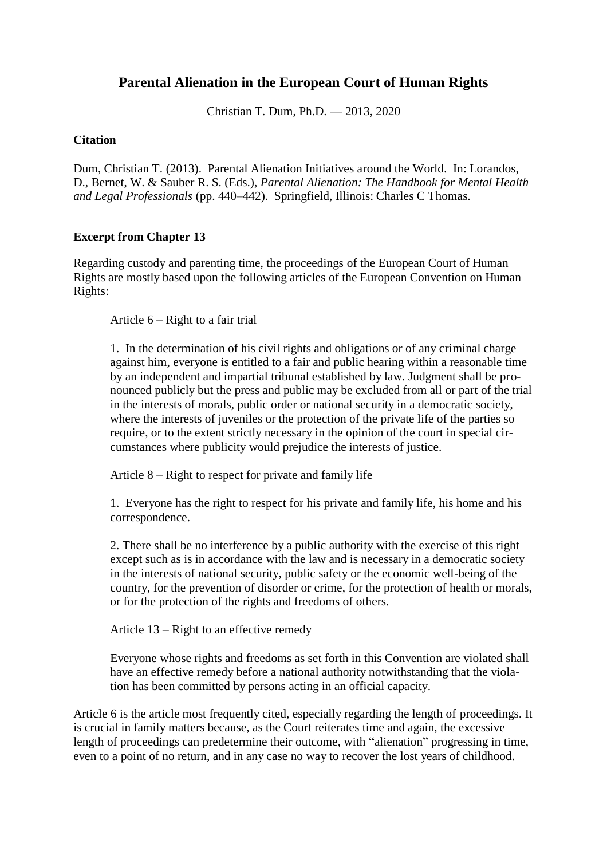# **Parental Alienation in the European Court of Human Rights**

Christian T. Dum, Ph.D. — 2013, 2020

## **Citation**

Dum, Christian T. (2013). Parental Alienation Initiatives around the World. In: Lorandos, D., Bernet, W. & Sauber R. S. (Eds.), *Parental Alienation: The Handbook for Mental Health and Legal Professionals* (pp. 440–442). Springfield, Illinois: Charles C Thomas.

## **Excerpt from Chapter 13**

Regarding custody and parenting time, the proceedings of the European Court of Human Rights are mostly based upon the following articles of the European Convention on Human Rights:

Article 6 – Right to a fair trial

1. In the determination of his civil rights and obligations or of any criminal charge against him, everyone is entitled to a fair and public hearing within a reasonable time by an independent and impartial tribunal established by law. Judgment shall be pronounced publicly but the press and public may be excluded from all or part of the trial in the interests of morals, public order or national security in a democratic society, where the interests of juveniles or the protection of the private life of the parties so require, or to the extent strictly necessary in the opinion of the court in special circumstances where publicity would prejudice the interests of justice.

Article 8 – Right to respect for private and family life

1. Everyone has the right to respect for his private and family life, his home and his correspondence.

2. There shall be no interference by a public authority with the exercise of this right except such as is in accordance with the law and is necessary in a democratic society in the interests of national security, public safety or the economic well-being of the country, for the prevention of disorder or crime, for the protection of health or morals, or for the protection of the rights and freedoms of others.

Article 13 – Right to an effective remedy

Everyone whose rights and freedoms as set forth in this Convention are violated shall have an effective remedy before a national authority notwithstanding that the violation has been committed by persons acting in an official capacity.

Article 6 is the article most frequently cited, especially regarding the length of proceedings. It is crucial in family matters because, as the Court reiterates time and again, the excessive length of proceedings can predetermine their outcome, with "alienation" progressing in time, even to a point of no return, and in any case no way to recover the lost years of childhood.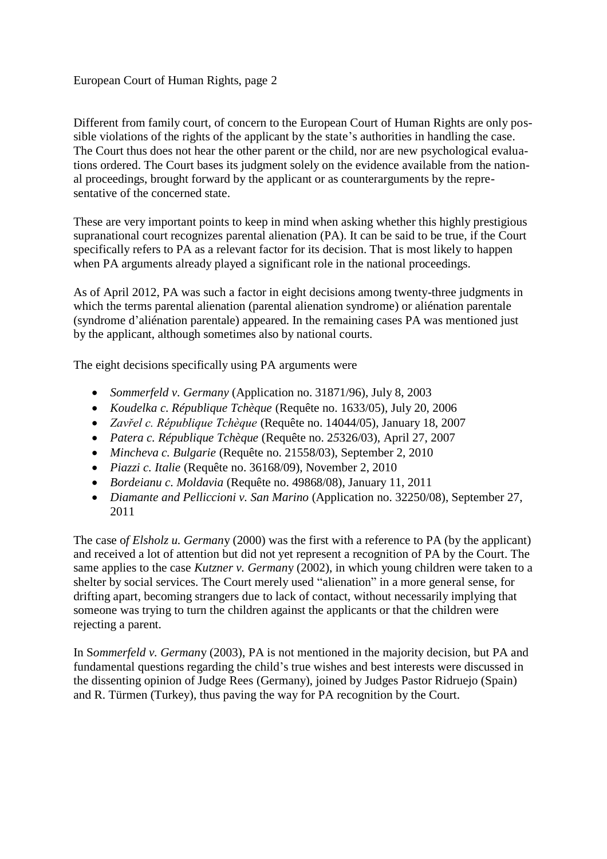## European Court of Human Rights, page 2

Different from family court, of concern to the European Court of Human Rights are only possible violations of the rights of the applicant by the state's authorities in handling the case. The Court thus does not hear the other parent or the child, nor are new psychological evaluations ordered. The Court bases its judgment solely on the evidence available from the national proceedings, brought forward by the applicant or as counterarguments by the representative of the concerned state.

These are very important points to keep in mind when asking whether this highly prestigious supranational court recognizes parental alienation (PA). It can be said to be true, if the Court specifically refers to PA as a relevant factor for its decision. That is most likely to happen when PA arguments already played a significant role in the national proceedings.

As of April 2012, PA was such a factor in eight decisions among twenty-three judgments in which the terms parental alienation (parental alienation syndrome) or aliénation parentale (syndrome d'aliénation parentale) appeared. In the remaining cases PA was mentioned just by the applicant, although sometimes also by national courts.

The eight decisions specifically using PA arguments were

- *Sommerfeld v. Germany* (Application no. 31871/96), July 8, 2003
- *Koudelka c. République Tchèque* (Requête no. 1633/05), July 20, 2006
- *Zavřel c. République Tchèque* (Requête no. 14044/05), January 18, 2007
- *Patera c. République Tchèque* (Requête no. 2*5*326/03), April 27, 2007
- *Mincheva c. Bulgarie* (Requête no. 21558/03), September 2, 2010
- *Piazzi c. Italie* (Requête no. 36168/09), November 2, 2010
- *Bordeianu c. Moldavia* (Requête no. 49868/08), January 11, 2011
- *Diamante and Pelliccioni v. San Marino* (Application no. 32250/08), September 27, 2011

The case o*f Elsholz u. German*y (2000) was the first with a reference to PA (by the applicant) and received a lot of attention but did not yet represent a recognition of PA by the Court. The same applies to the case *Kutzner v. German*y (2002), in which young children were taken to a shelter by social services. The Court merely used "alienation" in a more general sense, for drifting apart, becoming strangers due to lack of contact, without necessarily implying that someone was trying to turn the children against the applicants or that the children were rejecting a parent.

In S*ommerfeld v. German*y (2003), PA is not mentioned in the majority decision, but PA and fundamental questions regarding the child's true wishes and best interests were discussed in the dissenting opinion of Judge Rees (Germany), joined by Judges Pastor Ridruejo (Spain) and R. Türmen (Turkey), thus paving the way for PA recognition by the Court.